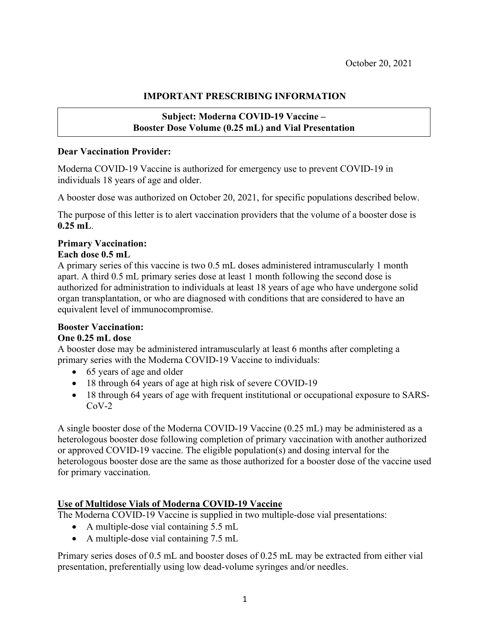# **IMPORTANT PRESCRIBING INFORMATION**

## **Subject: Moderna COVID-19 Vaccine – Booster Dose Volume (0.25 mL) and Vial Presentation**

#### **Dear Vaccination Provider:**

Moderna COVID-19 Vaccine is authorized for emergency use to prevent COVID-19 in individuals 18 years of age and older.

A booster dose was authorized on October 20, 2021, for specific populations described below.

The purpose of this letter is to alert vaccination providers that the volume of a booster dose is **0.25 mL**.

### **Primary Vaccination:**

#### **Each dose 0.5 mL**

A primary series of this vaccine is two 0.5 mL doses administered intramuscularly 1 month apart. A third 0.5 mL primary series dose at least 1 month following the second dose is authorized for administration to individuals at least 18 years of age who have undergone solid organ transplantation, or who are diagnosed with conditions that are considered to have an equivalent level of immunocompromise.

### **Booster Vaccination:**

### **One 0.25 mL dose**

A booster dose may be administered intramuscularly at least 6 months after completing a primary series with the Moderna COVID-19 Vaccine to individuals:

- 65 years of age and older
- 18 through 64 years of age at high risk of severe COVID-19
- 18 through 64 years of age with frequent institutional or occupational exposure to SARS- $CoV-2$

A single booster dose of the Moderna COVID-19 Vaccine (0.25 mL) may be administered as a heterologous booster dose following completion of primary vaccination with another authorized or approved COVID-19 vaccine. The eligible population(s) and dosing interval for the heterologous booster dose are the same as those authorized for a booster dose of the vaccine used for primary vaccination.

### **Use of Multidose Vials of Moderna COVID-19 Vaccine**

The Moderna COVID-19 Vaccine is supplied in two multiple-dose vial presentations:

- A multiple-dose vial containing 5.5 mL
- A multiple-dose vial containing 7.5 mL

Primary series doses of 0.5 mL and booster doses of 0.25 mL may be extracted from either vial presentation, preferentially using low dead-volume syringes and/or needles.